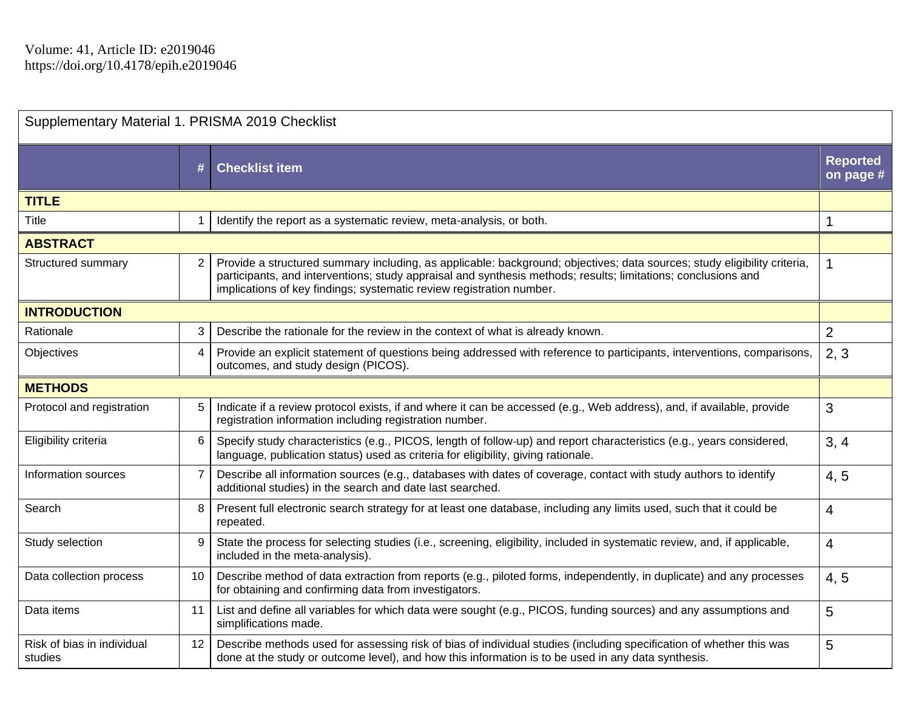## Supplementary Material 1. PRISMA 2019 Checklist

|                                       | #              | <b>Checklist item</b>                                                                                                                                                                                                                                                                                             | <b>Reported</b><br>on page # |  |
|---------------------------------------|----------------|-------------------------------------------------------------------------------------------------------------------------------------------------------------------------------------------------------------------------------------------------------------------------------------------------------------------|------------------------------|--|
| <b>TITLE</b>                          |                |                                                                                                                                                                                                                                                                                                                   |                              |  |
| Title                                 |                | Identify the report as a systematic review, meta-analysis, or both.                                                                                                                                                                                                                                               | 1                            |  |
| <b>ABSTRACT</b>                       |                |                                                                                                                                                                                                                                                                                                                   |                              |  |
| Structured summary                    | $\overline{2}$ | Provide a structured summary including, as applicable: background; objectives; data sources; study eligibility criteria,<br>participants, and interventions; study appraisal and synthesis methods; results; limitations; conclusions and<br>implications of key findings; systematic review registration number. | 1                            |  |
| <b>INTRODUCTION</b>                   |                |                                                                                                                                                                                                                                                                                                                   |                              |  |
| Rationale                             | 3              | Describe the rationale for the review in the context of what is already known.                                                                                                                                                                                                                                    | $\overline{2}$               |  |
| Objectives                            | 4              | Provide an explicit statement of questions being addressed with reference to participants, interventions, comparisons,<br>outcomes, and study design (PICOS).                                                                                                                                                     | 2, 3                         |  |
| <b>METHODS</b>                        |                |                                                                                                                                                                                                                                                                                                                   |                              |  |
| Protocol and registration             | 5              | Indicate if a review protocol exists, if and where it can be accessed (e.g., Web address), and, if available, provide<br>registration information including registration number.                                                                                                                                  | 3                            |  |
| Eligibility criteria                  | 6              | Specify study characteristics (e.g., PICOS, length of follow-up) and report characteristics (e.g., years considered,<br>language, publication status) used as criteria for eligibility, giving rationale.                                                                                                         | 3, 4                         |  |
| Information sources                   | $\overline{7}$ | Describe all information sources (e.g., databases with dates of coverage, contact with study authors to identify<br>additional studies) in the search and date last searched.                                                                                                                                     | 4, 5                         |  |
| Search                                | 8              | Present full electronic search strategy for at least one database, including any limits used, such that it could be<br>repeated.                                                                                                                                                                                  | $\overline{4}$               |  |
| Study selection                       | 9              | State the process for selecting studies (i.e., screening, eligibility, included in systematic review, and, if applicable,<br>included in the meta-analysis).                                                                                                                                                      | 4                            |  |
| Data collection process               | 10             | Describe method of data extraction from reports (e.g., piloted forms, independently, in duplicate) and any processes<br>for obtaining and confirming data from investigators.                                                                                                                                     | 4, 5                         |  |
| Data items                            | 11             | List and define all variables for which data were sought (e.g., PICOS, funding sources) and any assumptions and<br>simplifications made.                                                                                                                                                                          | 5                            |  |
| Risk of bias in individual<br>studies | 12             | Describe methods used for assessing risk of bias of individual studies (including specification of whether this was<br>done at the study or outcome level), and how this information is to be used in any data synthesis.                                                                                         | 5                            |  |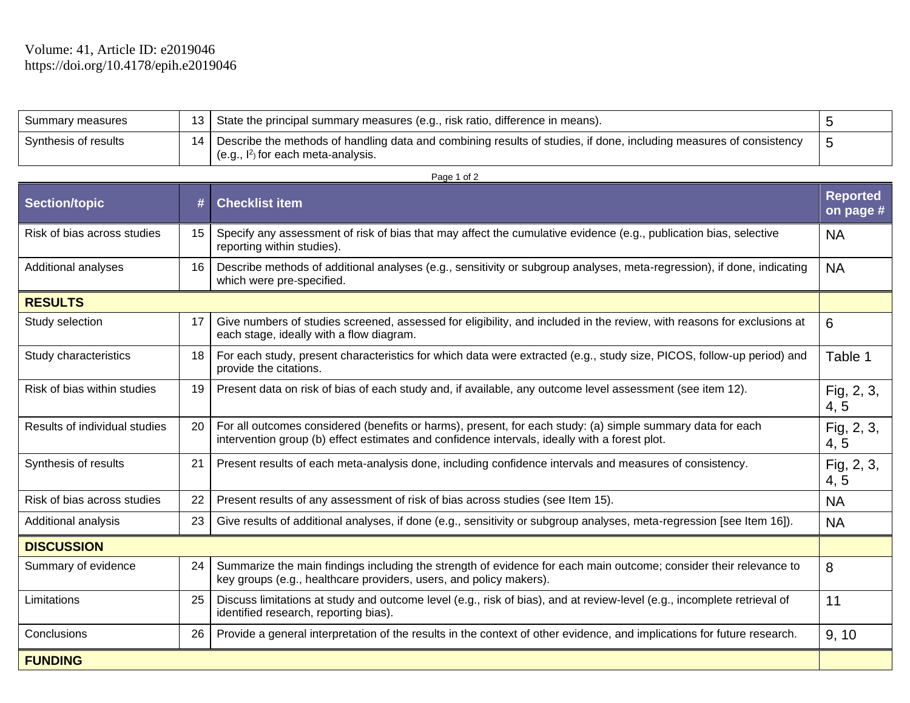**FUNDING** 

| Summary measures     | 13 State the principal summary measures (e.g., risk ratio, difference in means).                                                                              |     |
|----------------------|---------------------------------------------------------------------------------------------------------------------------------------------------------------|-----|
| Synthesis of results | 14 Describe the methods of handling data and combining results of studies, if done, including measures of consistency<br>$(e.g., I2)$ for each meta-analysis. | כ ו |

|                               | $r$ aye 1 01 $\angle$ |                                                                                                                                                                                                             |                              |  |  |  |  |
|-------------------------------|-----------------------|-------------------------------------------------------------------------------------------------------------------------------------------------------------------------------------------------------------|------------------------------|--|--|--|--|
| Section/topic                 | #                     | <b>Checklist item</b>                                                                                                                                                                                       | <b>Reported</b><br>on page # |  |  |  |  |
| Risk of bias across studies   | 15                    | Specify any assessment of risk of bias that may affect the cumulative evidence (e.g., publication bias, selective<br>reporting within studies).                                                             | <b>NA</b>                    |  |  |  |  |
| Additional analyses           | 16                    | Describe methods of additional analyses (e.g., sensitivity or subgroup analyses, meta-regression), if done, indicating<br>which were pre-specified.                                                         | <b>NA</b>                    |  |  |  |  |
| <b>RESULTS</b>                |                       |                                                                                                                                                                                                             |                              |  |  |  |  |
| Study selection               | 17                    | Give numbers of studies screened, assessed for eligibility, and included in the review, with reasons for exclusions at<br>each stage, ideally with a flow diagram.                                          | 6                            |  |  |  |  |
| Study characteristics         | 18                    | For each study, present characteristics for which data were extracted (e.g., study size, PICOS, follow-up period) and<br>provide the citations.                                                             | Table 1                      |  |  |  |  |
| Risk of bias within studies   | 19                    | Present data on risk of bias of each study and, if available, any outcome level assessment (see item 12).                                                                                                   | Fig, 2, 3,<br>4, 5           |  |  |  |  |
| Results of individual studies | 20                    | For all outcomes considered (benefits or harms), present, for each study: (a) simple summary data for each<br>intervention group (b) effect estimates and confidence intervals, ideally with a forest plot. | Fig, 2, 3,<br>4, 5           |  |  |  |  |
| Synthesis of results          | 21                    | Present results of each meta-analysis done, including confidence intervals and measures of consistency.                                                                                                     | Fig, 2, 3,<br>4, 5           |  |  |  |  |
| Risk of bias across studies   | 22                    | Present results of any assessment of risk of bias across studies (see Item 15).                                                                                                                             | <b>NA</b>                    |  |  |  |  |
| Additional analysis           | 23                    | Give results of additional analyses, if done (e.g., sensitivity or subgroup analyses, meta-regression [see Item 16]).                                                                                       | <b>NA</b>                    |  |  |  |  |
| <b>DISCUSSION</b>             |                       |                                                                                                                                                                                                             |                              |  |  |  |  |
| Summary of evidence           | 24                    | Summarize the main findings including the strength of evidence for each main outcome; consider their relevance to<br>key groups (e.g., healthcare providers, users, and policy makers).                     | 8                            |  |  |  |  |
| Limitations                   | 25                    | Discuss limitations at study and outcome level (e.g., risk of bias), and at review-level (e.g., incomplete retrieval of<br>identified research, reporting bias).                                            | 11                           |  |  |  |  |
| Conclusions                   | 26                    | Provide a general interpretation of the results in the context of other evidence, and implications for future research.                                                                                     | 9, 10                        |  |  |  |  |

Page 1 of 2